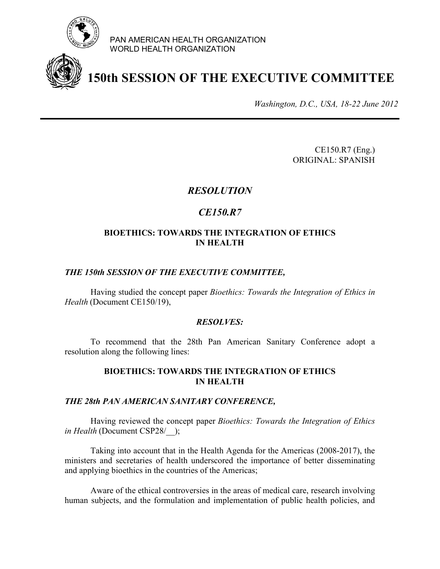

PAN AMERICAN HEALTH ORGANIZATION WORLD HEALTH ORGANIZATION



# **150th SESSION OF THE EXECUTIVE COMMITTEE**

*Washington, D.C., USA, 18-22 June 2012*

CE150.R7 (Eng.) ORIGINAL: SPANISH

## *RESOLUTION*

# *CE150.R7*

### **BIOETHICS: TOWARDS THE INTEGRATION OF ETHICS IN HEALTH**

#### *THE 150th SESSION OF THE EXECUTIVE COMMITTEE,*

Having studied the concept paper *Bioethics: Towards the Integration of Ethics in Health* (Document CE150/19),

#### *RESOLVES:*

 To recommend that the 28th Pan American Sanitary Conference adopt a resolution along the following lines:

#### **BIOETHICS: TOWARDS THE INTEGRATION OF ETHICS IN HEALTH**

#### *THE 28th PAN AMERICAN SANITARY CONFERENCE,*

Having reviewed the concept paper *Bioethics: Towards the Integration of Ethics in Health* (Document CSP28/);

Taking into account that in the Health Agenda for the Americas (2008-2017), the ministers and secretaries of health underscored the importance of better disseminating and applying bioethics in the countries of the Americas;

Aware of the ethical controversies in the areas of medical care, research involving human subjects, and the formulation and implementation of public health policies, and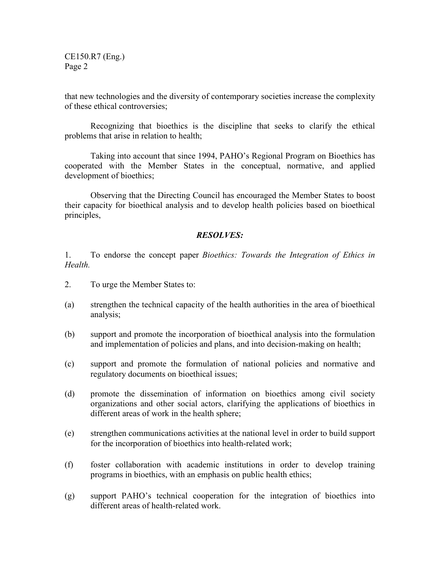CE150.R7 (Eng.) Page 2

that new technologies and the diversity of contemporary societies increase the complexity of these ethical controversies;

Recognizing that bioethics is the discipline that seeks to clarify the ethical problems that arise in relation to health;

Taking into account that since 1994, PAHO's Regional Program on Bioethics has cooperated with the Member States in the conceptual, normative, and applied development of bioethics;

Observing that the Directing Council has encouraged the Member States to boost their capacity for bioethical analysis and to develop health policies based on bioethical principles,

## *RESOLVES:*

1. To endorse the concept paper *Bioethics: Towards the Integration of Ethics in Health.* 

- 2. To urge the Member States to:
- (a) strengthen the technical capacity of the health authorities in the area of bioethical analysis;
- (b) support and promote the incorporation of bioethical analysis into the formulation and implementation of policies and plans, and into decision-making on health;
- (c) support and promote the formulation of national policies and normative and regulatory documents on bioethical issues;
- (d) promote the dissemination of information on bioethics among civil society organizations and other social actors, clarifying the applications of bioethics in different areas of work in the health sphere;
- (e) strengthen communications activities at the national level in order to build support for the incorporation of bioethics into health-related work;
- (f) foster collaboration with academic institutions in order to develop training programs in bioethics, with an emphasis on public health ethics;
- (g) support PAHO's technical cooperation for the integration of bioethics into different areas of health-related work.